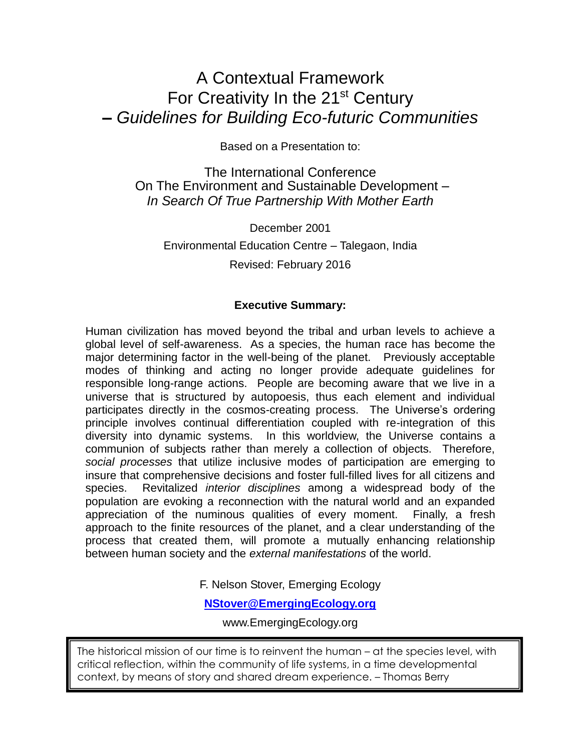## A Contextual Framework For Creativity In the 21<sup>st</sup> Century **–** *Guidelines for Building Eco-futuric Communities*

Based on a Presentation to:

The International Conference On The Environment and Sustainable Development – *In Search Of True Partnership With Mother Earth*

December 2001 Environmental Education Centre – Talegaon, India Revised: February 2016

#### **Executive Summary:**

Human civilization has moved beyond the tribal and urban levels to achieve a global level of self-awareness. As a species, the human race has become the major determining factor in the well-being of the planet. Previously acceptable modes of thinking and acting no longer provide adequate guidelines for responsible long-range actions. People are becoming aware that we live in a universe that is structured by autopoesis, thus each element and individual participates directly in the cosmos-creating process. The Universe's ordering principle involves continual differentiation coupled with re-integration of this diversity into dynamic systems. In this worldview, the Universe contains a communion of subjects rather than merely a collection of objects. Therefore, *social processes* that utilize inclusive modes of participation are emerging to insure that comprehensive decisions and foster full-filled lives for all citizens and species. Revitalized *interior disciplines* among a widespread body of the population are evoking a reconnection with the natural world and an expanded appreciation of the numinous qualities of every moment. Finally, a fresh approach to the finite resources of the planet, and a clear understanding of the process that created them, will promote a mutually enhancing relationship between human society and the *external manifestations* of the world.

F. Nelson Stover, Emerging Ecology

**[NStover@EmergingEcology.org](mailto:NStover@EmergingEcology.org)**

www.EmergingEcology.org

The historical mission of our time is to reinvent the human – at the species level, with critical reflection, within the community of life systems, in a time developmental context, by means of story and shared dream experience. – Thomas Berry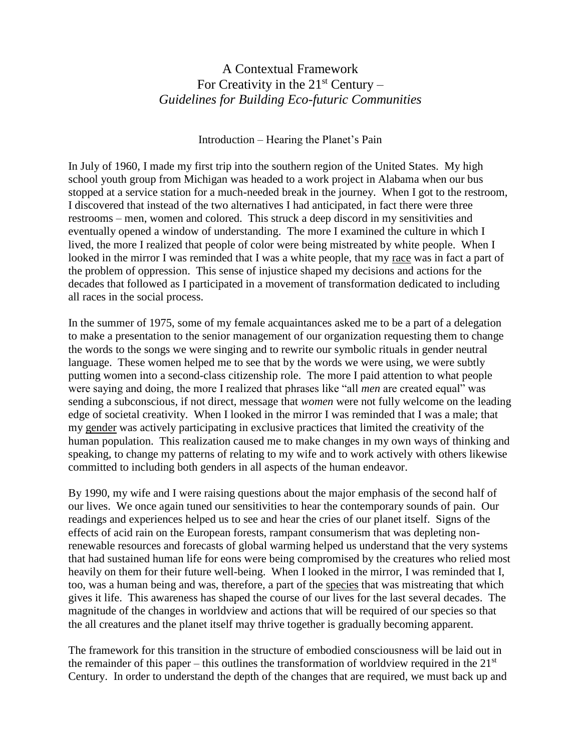## A Contextual Framework For Creativity in the  $21<sup>st</sup>$  Century – *Guidelines for Building Eco-futuric Communities*

Introduction – Hearing the Planet's Pain

In July of 1960, I made my first trip into the southern region of the United States. My high school youth group from Michigan was headed to a work project in Alabama when our bus stopped at a service station for a much-needed break in the journey. When I got to the restroom, I discovered that instead of the two alternatives I had anticipated, in fact there were three restrooms – men, women and colored. This struck a deep discord in my sensitivities and eventually opened a window of understanding. The more I examined the culture in which I lived, the more I realized that people of color were being mistreated by white people. When I looked in the mirror I was reminded that I was a white people, that my race was in fact a part of the problem of oppression. This sense of injustice shaped my decisions and actions for the decades that followed as I participated in a movement of transformation dedicated to including all races in the social process.

In the summer of 1975, some of my female acquaintances asked me to be a part of a delegation to make a presentation to the senior management of our organization requesting them to change the words to the songs we were singing and to rewrite our symbolic rituals in gender neutral language. These women helped me to see that by the words we were using, we were subtly putting women into a second-class citizenship role. The more I paid attention to what people were saying and doing, the more I realized that phrases like "all *men* are created equal" was sending a subconscious, if not direct, message that *women* were not fully welcome on the leading edge of societal creativity. When I looked in the mirror I was reminded that I was a male; that my gender was actively participating in exclusive practices that limited the creativity of the human population. This realization caused me to make changes in my own ways of thinking and speaking, to change my patterns of relating to my wife and to work actively with others likewise committed to including both genders in all aspects of the human endeavor.

By 1990, my wife and I were raising questions about the major emphasis of the second half of our lives. We once again tuned our sensitivities to hear the contemporary sounds of pain. Our readings and experiences helped us to see and hear the cries of our planet itself. Signs of the effects of acid rain on the European forests, rampant consumerism that was depleting nonrenewable resources and forecasts of global warming helped us understand that the very systems that had sustained human life for eons were being compromised by the creatures who relied most heavily on them for their future well-being. When I looked in the mirror, I was reminded that I, too, was a human being and was, therefore, a part of the species that was mistreating that which gives it life. This awareness has shaped the course of our lives for the last several decades. The magnitude of the changes in worldview and actions that will be required of our species so that the all creatures and the planet itself may thrive together is gradually becoming apparent.

The framework for this transition in the structure of embodied consciousness will be laid out in the remainder of this paper – this outlines the transformation of worldview required in the  $21<sup>st</sup>$ Century. In order to understand the depth of the changes that are required, we must back up and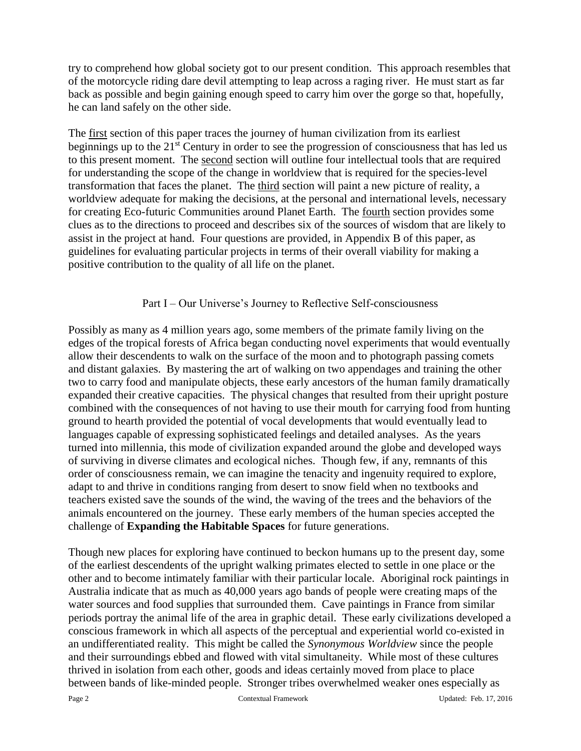try to comprehend how global society got to our present condition. This approach resembles that of the motorcycle riding dare devil attempting to leap across a raging river. He must start as far back as possible and begin gaining enough speed to carry him over the gorge so that, hopefully, he can land safely on the other side.

The first section of this paper traces the journey of human civilization from its earliest beginnings up to the 21<sup>st</sup> Century in order to see the progression of consciousness that has led us to this present moment. The second section will outline four intellectual tools that are required for understanding the scope of the change in worldview that is required for the species-level transformation that faces the planet. The third section will paint a new picture of reality, a worldview adequate for making the decisions, at the personal and international levels, necessary for creating Eco-futuric Communities around Planet Earth. The fourth section provides some clues as to the directions to proceed and describes six of the sources of wisdom that are likely to assist in the project at hand. Four questions are provided, in Appendix B of this paper, as guidelines for evaluating particular projects in terms of their overall viability for making a positive contribution to the quality of all life on the planet.

#### Part I – Our Universe's Journey to Reflective Self-consciousness

Possibly as many as 4 million years ago, some members of the primate family living on the edges of the tropical forests of Africa began conducting novel experiments that would eventually allow their descendents to walk on the surface of the moon and to photograph passing comets and distant galaxies. By mastering the art of walking on two appendages and training the other two to carry food and manipulate objects, these early ancestors of the human family dramatically expanded their creative capacities. The physical changes that resulted from their upright posture combined with the consequences of not having to use their mouth for carrying food from hunting ground to hearth provided the potential of vocal developments that would eventually lead to languages capable of expressing sophisticated feelings and detailed analyses. As the years turned into millennia, this mode of civilization expanded around the globe and developed ways of surviving in diverse climates and ecological niches. Though few, if any, remnants of this order of consciousness remain, we can imagine the tenacity and ingenuity required to explore, adapt to and thrive in conditions ranging from desert to snow field when no textbooks and teachers existed save the sounds of the wind, the waving of the trees and the behaviors of the animals encountered on the journey. These early members of the human species accepted the challenge of **Expanding the Habitable Spaces** for future generations.

Though new places for exploring have continued to beckon humans up to the present day, some of the earliest descendents of the upright walking primates elected to settle in one place or the other and to become intimately familiar with their particular locale. Aboriginal rock paintings in Australia indicate that as much as 40,000 years ago bands of people were creating maps of the water sources and food supplies that surrounded them. Cave paintings in France from similar periods portray the animal life of the area in graphic detail. These early civilizations developed a conscious framework in which all aspects of the perceptual and experiential world co-existed in an undifferentiated reality. This might be called the *Synonymous Worldview* since the people and their surroundings ebbed and flowed with vital simultaneity. While most of these cultures thrived in isolation from each other, goods and ideas certainly moved from place to place between bands of like-minded people. Stronger tribes overwhelmed weaker ones especially as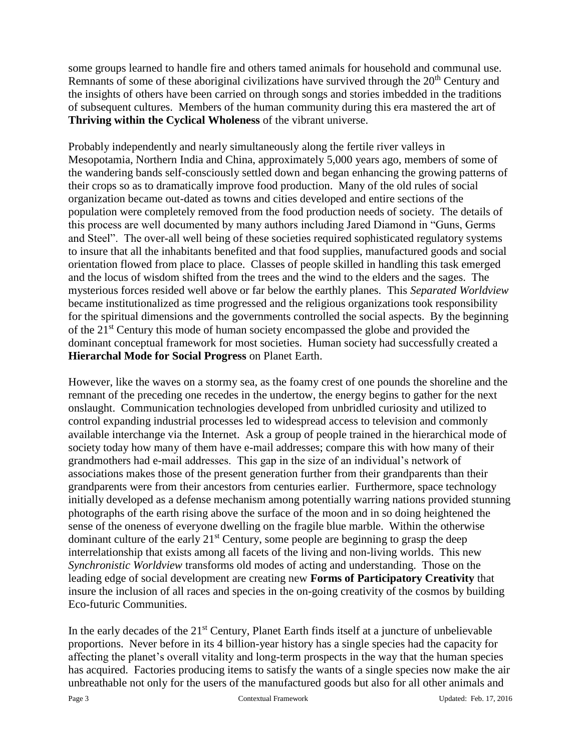some groups learned to handle fire and others tamed animals for household and communal use. Remnants of some of these aboriginal civilizations have survived through the 20<sup>th</sup> Century and the insights of others have been carried on through songs and stories imbedded in the traditions of subsequent cultures. Members of the human community during this era mastered the art of **Thriving within the Cyclical Wholeness** of the vibrant universe.

Probably independently and nearly simultaneously along the fertile river valleys in Mesopotamia, Northern India and China, approximately 5,000 years ago, members of some of the wandering bands self-consciously settled down and began enhancing the growing patterns of their crops so as to dramatically improve food production. Many of the old rules of social organization became out-dated as towns and cities developed and entire sections of the population were completely removed from the food production needs of society. The details of this process are well documented by many authors including Jared Diamond in "Guns, Germs and Steel". The over-all well being of these societies required sophisticated regulatory systems to insure that all the inhabitants benefited and that food supplies, manufactured goods and social orientation flowed from place to place. Classes of people skilled in handling this task emerged and the locus of wisdom shifted from the trees and the wind to the elders and the sages. The mysterious forces resided well above or far below the earthly planes. This *Separated Worldview* became institutionalized as time progressed and the religious organizations took responsibility for the spiritual dimensions and the governments controlled the social aspects. By the beginning of the 21st Century this mode of human society encompassed the globe and provided the dominant conceptual framework for most societies. Human society had successfully created a **Hierarchal Mode for Social Progress** on Planet Earth.

However, like the waves on a stormy sea, as the foamy crest of one pounds the shoreline and the remnant of the preceding one recedes in the undertow, the energy begins to gather for the next onslaught. Communication technologies developed from unbridled curiosity and utilized to control expanding industrial processes led to widespread access to television and commonly available interchange via the Internet. Ask a group of people trained in the hierarchical mode of society today how many of them have e-mail addresses; compare this with how many of their grandmothers had e-mail addresses. This gap in the size of an individual's network of associations makes those of the present generation further from their grandparents than their grandparents were from their ancestors from centuries earlier. Furthermore, space technology initially developed as a defense mechanism among potentially warring nations provided stunning photographs of the earth rising above the surface of the moon and in so doing heightened the sense of the oneness of everyone dwelling on the fragile blue marble. Within the otherwise dominant culture of the early  $21<sup>st</sup>$  Century, some people are beginning to grasp the deep interrelationship that exists among all facets of the living and non-living worlds. This new *Synchronistic Worldview* transforms old modes of acting and understanding. Those on the leading edge of social development are creating new **Forms of Participatory Creativity** that insure the inclusion of all races and species in the on-going creativity of the cosmos by building Eco-futuric Communities.

In the early decades of the 21<sup>st</sup> Century, Planet Earth finds itself at a juncture of unbelievable proportions. Never before in its 4 billion-year history has a single species had the capacity for affecting the planet's overall vitality and long-term prospects in the way that the human species has acquired. Factories producing items to satisfy the wants of a single species now make the air unbreathable not only for the users of the manufactured goods but also for all other animals and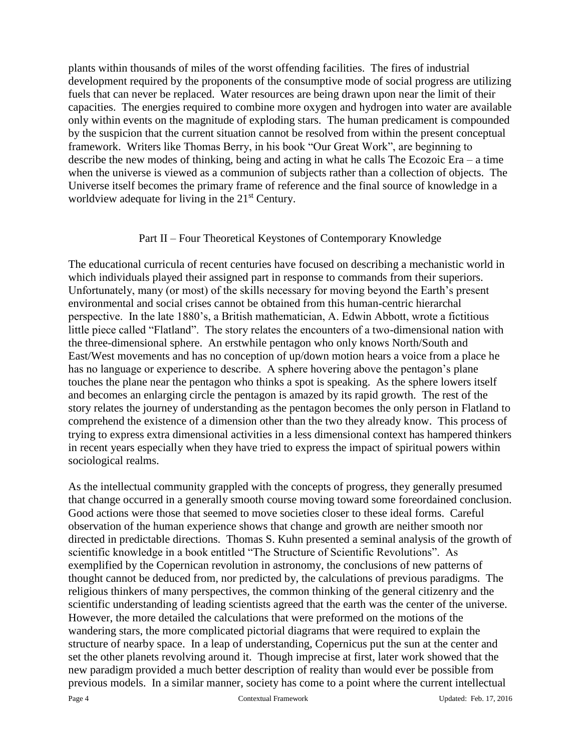plants within thousands of miles of the worst offending facilities. The fires of industrial development required by the proponents of the consumptive mode of social progress are utilizing fuels that can never be replaced. Water resources are being drawn upon near the limit of their capacities. The energies required to combine more oxygen and hydrogen into water are available only within events on the magnitude of exploding stars. The human predicament is compounded by the suspicion that the current situation cannot be resolved from within the present conceptual framework. Writers like Thomas Berry, in his book "Our Great Work", are beginning to describe the new modes of thinking, being and acting in what he calls The Ecozoic Era – a time when the universe is viewed as a communion of subjects rather than a collection of objects. The Universe itself becomes the primary frame of reference and the final source of knowledge in a worldview adequate for living in the 21<sup>st</sup> Century.

#### Part II – Four Theoretical Keystones of Contemporary Knowledge

The educational curricula of recent centuries have focused on describing a mechanistic world in which individuals played their assigned part in response to commands from their superiors. Unfortunately, many (or most) of the skills necessary for moving beyond the Earth's present environmental and social crises cannot be obtained from this human-centric hierarchal perspective. In the late 1880's, a British mathematician, A. Edwin Abbott, wrote a fictitious little piece called "Flatland". The story relates the encounters of a two-dimensional nation with the three-dimensional sphere. An erstwhile pentagon who only knows North/South and East/West movements and has no conception of up/down motion hears a voice from a place he has no language or experience to describe. A sphere hovering above the pentagon's plane touches the plane near the pentagon who thinks a spot is speaking. As the sphere lowers itself and becomes an enlarging circle the pentagon is amazed by its rapid growth. The rest of the story relates the journey of understanding as the pentagon becomes the only person in Flatland to comprehend the existence of a dimension other than the two they already know. This process of trying to express extra dimensional activities in a less dimensional context has hampered thinkers in recent years especially when they have tried to express the impact of spiritual powers within sociological realms.

As the intellectual community grappled with the concepts of progress, they generally presumed that change occurred in a generally smooth course moving toward some foreordained conclusion. Good actions were those that seemed to move societies closer to these ideal forms. Careful observation of the human experience shows that change and growth are neither smooth nor directed in predictable directions. Thomas S. Kuhn presented a seminal analysis of the growth of scientific knowledge in a book entitled "The Structure of Scientific Revolutions". As exemplified by the Copernican revolution in astronomy, the conclusions of new patterns of thought cannot be deduced from, nor predicted by, the calculations of previous paradigms. The religious thinkers of many perspectives, the common thinking of the general citizenry and the scientific understanding of leading scientists agreed that the earth was the center of the universe. However, the more detailed the calculations that were preformed on the motions of the wandering stars, the more complicated pictorial diagrams that were required to explain the structure of nearby space. In a leap of understanding, Copernicus put the sun at the center and set the other planets revolving around it. Though imprecise at first, later work showed that the new paradigm provided a much better description of reality than would ever be possible from previous models. In a similar manner, society has come to a point where the current intellectual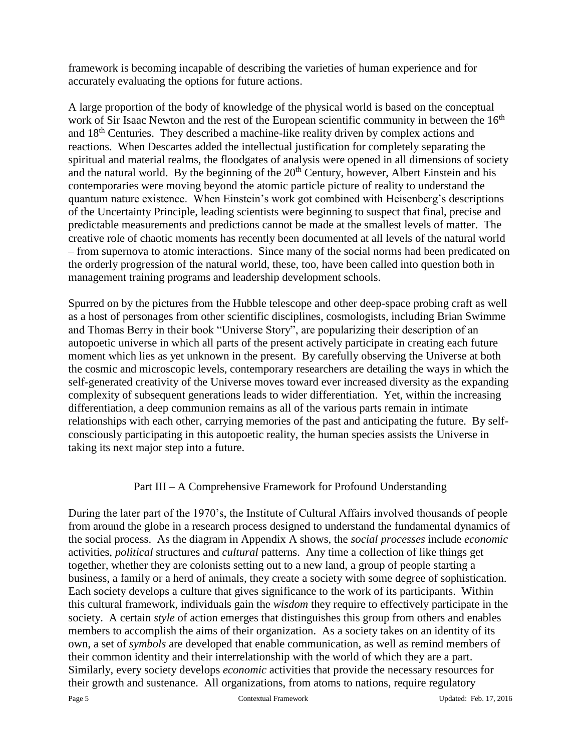framework is becoming incapable of describing the varieties of human experience and for accurately evaluating the options for future actions.

A large proportion of the body of knowledge of the physical world is based on the conceptual work of Sir Isaac Newton and the rest of the European scientific community in between the 16<sup>th</sup> and 18th Centuries. They described a machine-like reality driven by complex actions and reactions. When Descartes added the intellectual justification for completely separating the spiritual and material realms, the floodgates of analysis were opened in all dimensions of society and the natural world. By the beginning of the  $20<sup>th</sup>$  Century, however, Albert Einstein and his contemporaries were moving beyond the atomic particle picture of reality to understand the quantum nature existence. When Einstein's work got combined with Heisenberg's descriptions of the Uncertainty Principle, leading scientists were beginning to suspect that final, precise and predictable measurements and predictions cannot be made at the smallest levels of matter. The creative role of chaotic moments has recently been documented at all levels of the natural world – from supernova to atomic interactions. Since many of the social norms had been predicated on the orderly progression of the natural world, these, too, have been called into question both in management training programs and leadership development schools.

Spurred on by the pictures from the Hubble telescope and other deep-space probing craft as well as a host of personages from other scientific disciplines, cosmologists, including Brian Swimme and Thomas Berry in their book "Universe Story", are popularizing their description of an autopoetic universe in which all parts of the present actively participate in creating each future moment which lies as yet unknown in the present. By carefully observing the Universe at both the cosmic and microscopic levels, contemporary researchers are detailing the ways in which the self-generated creativity of the Universe moves toward ever increased diversity as the expanding complexity of subsequent generations leads to wider differentiation. Yet, within the increasing differentiation, a deep communion remains as all of the various parts remain in intimate relationships with each other, carrying memories of the past and anticipating the future. By selfconsciously participating in this autopoetic reality, the human species assists the Universe in taking its next major step into a future.

#### Part III – A Comprehensive Framework for Profound Understanding

During the later part of the 1970's, the Institute of Cultural Affairs involved thousands of people from around the globe in a research process designed to understand the fundamental dynamics of the social process. As the diagram in Appendix A shows, the *social processes* include *economic* activities, *political* structures and *cultural* patterns. Any time a collection of like things get together, whether they are colonists setting out to a new land, a group of people starting a business, a family or a herd of animals, they create a society with some degree of sophistication. Each society develops a culture that gives significance to the work of its participants. Within this cultural framework, individuals gain the *wisdom* they require to effectively participate in the society. A certain *style* of action emerges that distinguishes this group from others and enables members to accomplish the aims of their organization. As a society takes on an identity of its own, a set of *symbols* are developed that enable communication, as well as remind members of their common identity and their interrelationship with the world of which they are a part. Similarly, every society develops *economic* activities that provide the necessary resources for their growth and sustenance. All organizations, from atoms to nations, require regulatory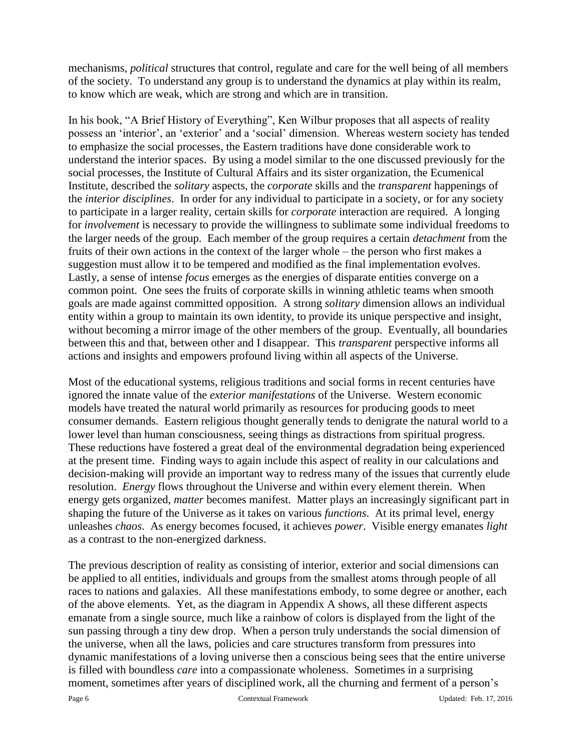mechanisms, *political* structures that control, regulate and care for the well being of all members of the society. To understand any group is to understand the dynamics at play within its realm, to know which are weak, which are strong and which are in transition.

In his book, "A Brief History of Everything", Ken Wilbur proposes that all aspects of reality possess an 'interior', an 'exterior' and a 'social' dimension. Whereas western society has tended to emphasize the social processes, the Eastern traditions have done considerable work to understand the interior spaces. By using a model similar to the one discussed previously for the social processes, the Institute of Cultural Affairs and its sister organization, the Ecumenical Institute, described the *solitary* aspects, the *corporate* skills and the *transparent* happenings of the *interior disciplines*. In order for any individual to participate in a society, or for any society to participate in a larger reality, certain skills for *corporate* interaction are required. A longing for *involvement* is necessary to provide the willingness to sublimate some individual freedoms to the larger needs of the group. Each member of the group requires a certain *detachment* from the fruits of their own actions in the context of the larger whole – the person who first makes a suggestion must allow it to be tempered and modified as the final implementation evolves. Lastly, a sense of intense *focus* emerges as the energies of disparate entities converge on a common point. One sees the fruits of corporate skills in winning athletic teams when smooth goals are made against committed opposition. A strong *solitary* dimension allows an individual entity within a group to maintain its own identity, to provide its unique perspective and insight, without becoming a mirror image of the other members of the group. Eventually, all boundaries between this and that, between other and I disappear. This *transparent* perspective informs all actions and insights and empowers profound living within all aspects of the Universe.

Most of the educational systems, religious traditions and social forms in recent centuries have ignored the innate value of the *exterior manifestations* of the Universe. Western economic models have treated the natural world primarily as resources for producing goods to meet consumer demands. Eastern religious thought generally tends to denigrate the natural world to a lower level than human consciousness, seeing things as distractions from spiritual progress. These reductions have fostered a great deal of the environmental degradation being experienced at the present time. Finding ways to again include this aspect of reality in our calculations and decision-making will provide an important way to redress many of the issues that currently elude resolution. *Energy* flows throughout the Universe and within every element therein. When energy gets organized, *matter* becomes manifest. Matter plays an increasingly significant part in shaping the future of the Universe as it takes on various *functions*. At its primal level, energy unleashes *chaos*. As energy becomes focused, it achieves *power*. Visible energy emanates *light* as a contrast to the non-energized darkness.

The previous description of reality as consisting of interior, exterior and social dimensions can be applied to all entities, individuals and groups from the smallest atoms through people of all races to nations and galaxies. All these manifestations embody, to some degree or another, each of the above elements. Yet, as the diagram in Appendix A shows, all these different aspects emanate from a single source, much like a rainbow of colors is displayed from the light of the sun passing through a tiny dew drop. When a person truly understands the social dimension of the universe, when all the laws, policies and care structures transform from pressures into dynamic manifestations of a loving universe then a conscious being sees that the entire universe is filled with boundless *care* into a compassionate wholeness. Sometimes in a surprising moment, sometimes after years of disciplined work, all the churning and ferment of a person's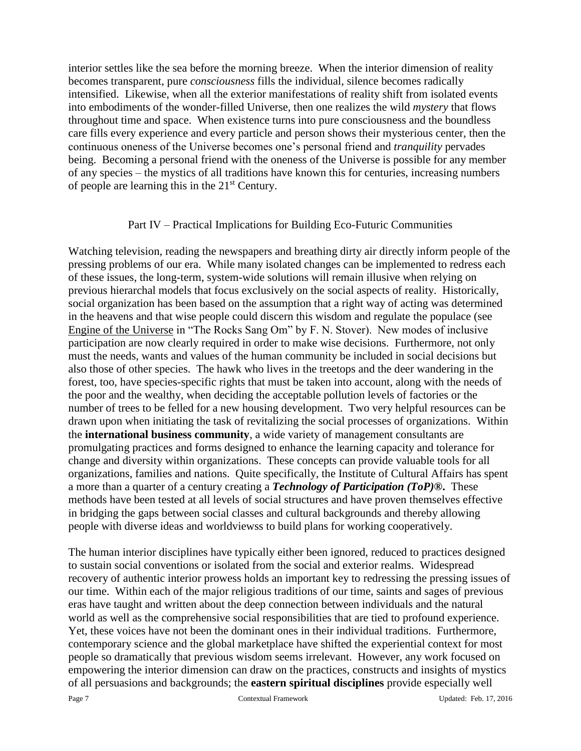interior settles like the sea before the morning breeze. When the interior dimension of reality becomes transparent, pure *consciousness* fills the individual, silence becomes radically intensified. Likewise, when all the exterior manifestations of reality shift from isolated events into embodiments of the wonder-filled Universe, then one realizes the wild *mystery* that flows throughout time and space. When existence turns into pure consciousness and the boundless care fills every experience and every particle and person shows their mysterious center, then the continuous oneness of the Universe becomes one's personal friend and *tranquility* pervades being. Becoming a personal friend with the oneness of the Universe is possible for any member of any species – the mystics of all traditions have known this for centuries, increasing numbers of people are learning this in the  $21<sup>st</sup>$  Century.

#### Part IV – Practical Implications for Building Eco-Futuric Communities

Watching television, reading the newspapers and breathing dirty air directly inform people of the pressing problems of our era. While many isolated changes can be implemented to redress each of these issues, the long-term, system-wide solutions will remain illusive when relying on previous hierarchal models that focus exclusively on the social aspects of reality. Historically, social organization has been based on the assumption that a right way of acting was determined in the heavens and that wise people could discern this wisdom and regulate the populace (see Engine of the Universe in "The Rocks Sang Om" by F. N. Stover). New modes of inclusive participation are now clearly required in order to make wise decisions. Furthermore, not only must the needs, wants and values of the human community be included in social decisions but also those of other species. The hawk who lives in the treetops and the deer wandering in the forest, too, have species-specific rights that must be taken into account, along with the needs of the poor and the wealthy, when deciding the acceptable pollution levels of factories or the number of trees to be felled for a new housing development. Two very helpful resources can be drawn upon when initiating the task of revitalizing the social processes of organizations. Within the **international business community**, a wide variety of management consultants are promulgating practices and forms designed to enhance the learning capacity and tolerance for change and diversity within organizations. These concepts can provide valuable tools for all organizations, families and nations. Quite specifically, the Institute of Cultural Affairs has spent a more than a quarter of a century creating a *Technology of Participation (ToP)®***.** These methods have been tested at all levels of social structures and have proven themselves effective in bridging the gaps between social classes and cultural backgrounds and thereby allowing people with diverse ideas and worldviewss to build plans for working cooperatively.

The human interior disciplines have typically either been ignored, reduced to practices designed to sustain social conventions or isolated from the social and exterior realms. Widespread recovery of authentic interior prowess holds an important key to redressing the pressing issues of our time. Within each of the major religious traditions of our time, saints and sages of previous eras have taught and written about the deep connection between individuals and the natural world as well as the comprehensive social responsibilities that are tied to profound experience. Yet, these voices have not been the dominant ones in their individual traditions. Furthermore, contemporary science and the global marketplace have shifted the experiential context for most people so dramatically that previous wisdom seems irrelevant. However, any work focused on empowering the interior dimension can draw on the practices, constructs and insights of mystics of all persuasions and backgrounds; the **eastern spiritual disciplines** provide especially well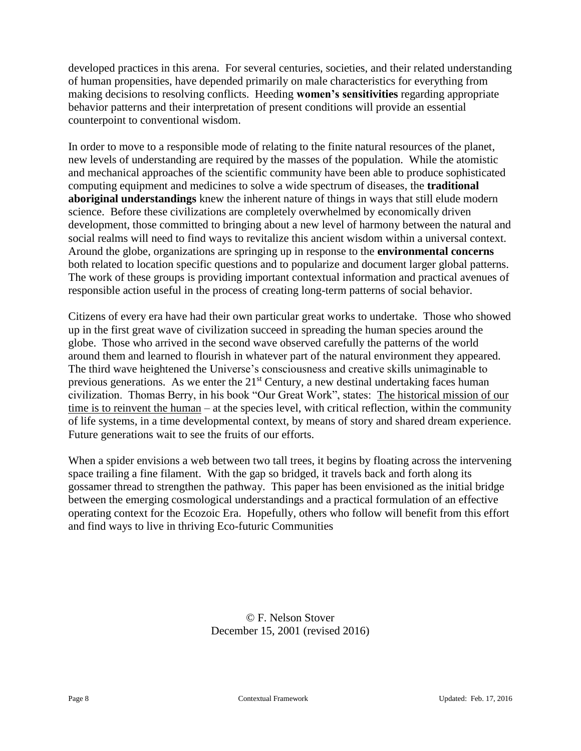developed practices in this arena. For several centuries, societies, and their related understanding of human propensities, have depended primarily on male characteristics for everything from making decisions to resolving conflicts. Heeding **women's sensitivities** regarding appropriate behavior patterns and their interpretation of present conditions will provide an essential counterpoint to conventional wisdom.

In order to move to a responsible mode of relating to the finite natural resources of the planet, new levels of understanding are required by the masses of the population. While the atomistic and mechanical approaches of the scientific community have been able to produce sophisticated computing equipment and medicines to solve a wide spectrum of diseases, the **traditional aboriginal understandings** knew the inherent nature of things in ways that still elude modern science. Before these civilizations are completely overwhelmed by economically driven development, those committed to bringing about a new level of harmony between the natural and social realms will need to find ways to revitalize this ancient wisdom within a universal context. Around the globe, organizations are springing up in response to the **environmental concerns** both related to location specific questions and to popularize and document larger global patterns. The work of these groups is providing important contextual information and practical avenues of responsible action useful in the process of creating long-term patterns of social behavior.

Citizens of every era have had their own particular great works to undertake. Those who showed up in the first great wave of civilization succeed in spreading the human species around the globe. Those who arrived in the second wave observed carefully the patterns of the world around them and learned to flourish in whatever part of the natural environment they appeared. The third wave heightened the Universe's consciousness and creative skills unimaginable to previous generations. As we enter the 21<sup>st</sup> Century, a new destinal undertaking faces human civilization. Thomas Berry, in his book "Our Great Work", states: The historical mission of our time is to reinvent the human – at the species level, with critical reflection, within the community of life systems, in a time developmental context, by means of story and shared dream experience. Future generations wait to see the fruits of our efforts.

When a spider envisions a web between two tall trees, it begins by floating across the intervening space trailing a fine filament. With the gap so bridged, it travels back and forth along its gossamer thread to strengthen the pathway. This paper has been envisioned as the initial bridge between the emerging cosmological understandings and a practical formulation of an effective operating context for the Ecozoic Era. Hopefully, others who follow will benefit from this effort and find ways to live in thriving Eco-futuric Communities

> © F. Nelson Stover December 15, 2001 (revised 2016)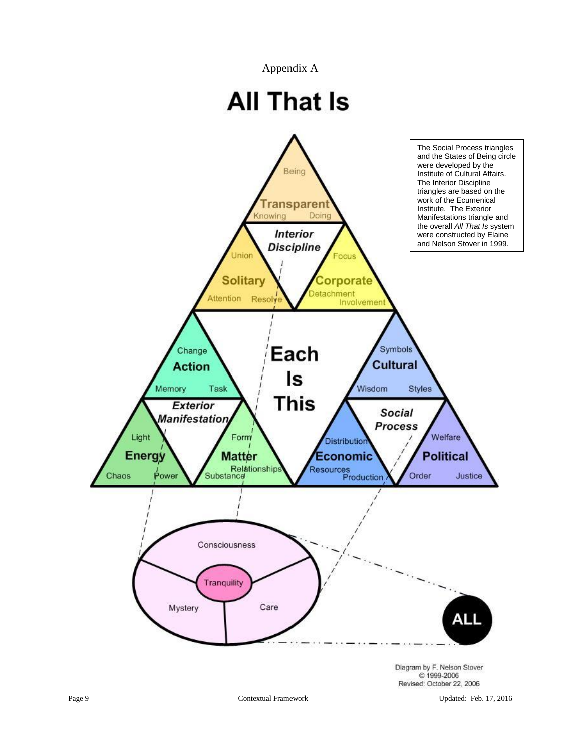Appendix A

# **All That Is**

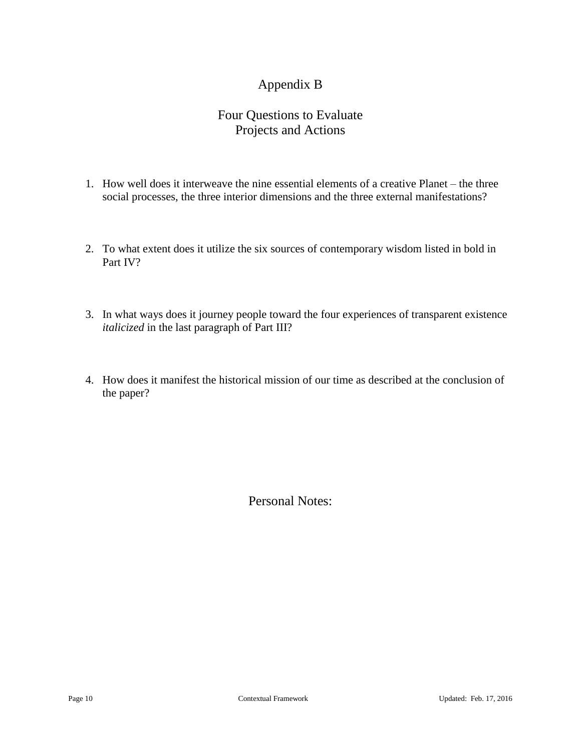## Appendix B

## Four Questions to Evaluate Projects and Actions

- 1. How well does it interweave the nine essential elements of a creative Planet the three social processes, the three interior dimensions and the three external manifestations?
- 2. To what extent does it utilize the six sources of contemporary wisdom listed in bold in Part IV?
- 3. In what ways does it journey people toward the four experiences of transparent existence *italicized* in the last paragraph of Part III?
- 4. How does it manifest the historical mission of our time as described at the conclusion of the paper?

Personal Notes: